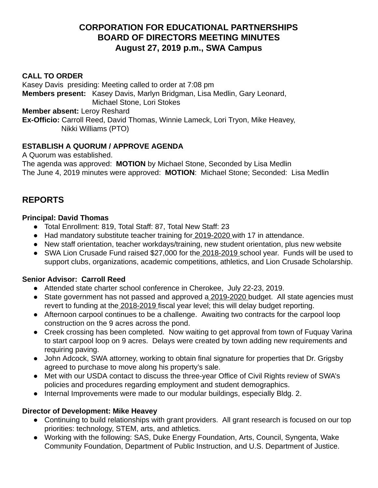# **CORPORATION FOR EDUCATIONAL PARTNERSHIPS BOARD OF DIRECTORS MEETING MINUTES August 27, 2019 p.m., SWA Campus**

#### **CALL TO ORDER**

Kasey Davis presiding: Meeting called to order at 7:08 pm **Members present:** Kasey Davis, Marlyn Bridgman, Lisa Medlin, Gary Leonard, Michael Stone, Lori Stokes **Member absent:** Leroy Reshard **Ex-Officio:** Carroll Reed, David Thomas, Winnie Lameck, Lori Tryon, Mike Heavey,

Nikki Williams (PTO)

### **ESTABLISH A QUORUM / APPROVE AGENDA**

A Quorum was established. The agenda was approved: **MOTION** by Michael Stone, Seconded by Lisa Medlin The June 4, 2019 minutes were approved: **MOTION** : Michael Stone; Seconded: Lisa Medlin

# **REPORTS**

### **Principal: David Thomas**

- Total Enrollment: 819, Total Staff: 87, Total New Staff: 23
- Had mandatory substitute teacher training for 2019-2020 with 17 in attendance.
- New staff orientation, teacher workdays/training, new student orientation, plus new website
- SWA Lion Crusade Fund raised \$27,000 for the 2018-2019 school year. Funds will be used to support clubs, organizations, academic competitions, athletics, and Lion Crusade Scholarship.

### **Senior Advisor: Carroll Reed**

- Attended state charter school conference in Cherokee, July 22-23, 2019.
- State government has not passed and approved a 2019-2020 budget. All state agencies must revert to funding at the 2018-2019 fiscal year level; this will delay budget reporting.
- Afternoon carpool continues to be a challenge. Awaiting two contracts for the carpool loop construction on the 9 acres across the pond.
- Creek crossing has been completed. Now waiting to get approval from town of Fuquay Varina to start carpool loop on 9 acres. Delays were created by town adding new requirements and requiring paving.
- John Adcock, SWA attorney, working to obtain final signature for properties that Dr. Grigsby agreed to purchase to move along his property's sale.
- Met with our USDA contact to discuss the three-year Office of Civil Rights review of SWA's policies and procedures regarding employment and student demographics.
- Internal Improvements were made to our modular buildings, especially Bldg. 2.

### **Director of Development: Mike Heavey**

- Continuing to build relationships with grant providers. All grant research is focused on our top priorities: technology, STEM, arts, and athletics.
- Working with the following: SAS, Duke Energy Foundation, Arts, Council, Syngenta, Wake Community Foundation, Department of Public Instruction, and U.S. Department of Justice.